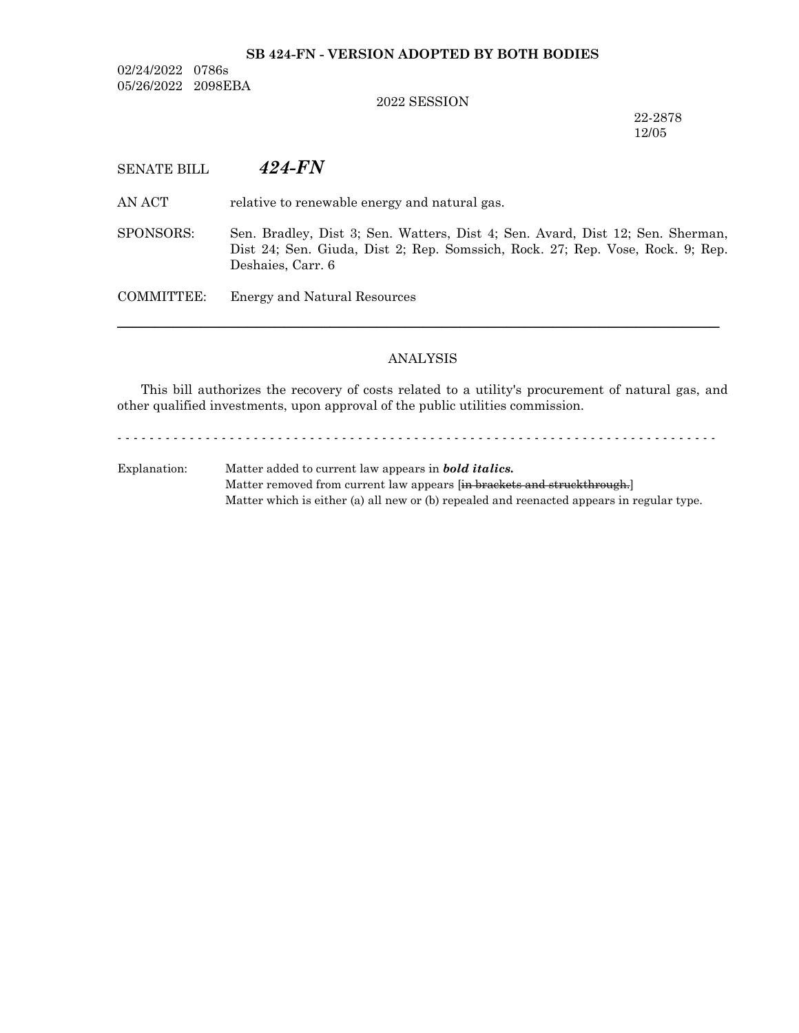#### **SB 424-FN - VERSION ADOPTED BY BOTH BODIES**

02/24/2022 0786s 05/26/2022 2098EBA

#### 2022 SESSION

22-2878 12/05

# SENATE BILL *424-FN*

AN ACT relative to renewable energy and natural gas.

SPONSORS: Sen. Bradley, Dist 3; Sen. Watters, Dist 4; Sen. Avard, Dist 12; Sen. Sherman, Dist 24; Sen. Giuda, Dist 2; Rep. Somssich, Rock. 27; Rep. Vose, Rock. 9; Rep. Deshaies, Carr. 6

COMMITTEE: Energy and Natural Resources

## ANALYSIS

─────────────────────────────────────────────────────────────────

This bill authorizes the recovery of costs related to a utility's procurement of natural gas, and other qualified investments, upon approval of the public utilities commission.

- - - - - - - - - - - - - - - - - - - - - - - - - - - - - - - - - - - - - - - - - - - - - - - - - - - - - - - - - - - - - - - - - - - - - - - - - - -

Explanation: Matter added to current law appears in *bold italics.* Matter removed from current law appears [in brackets and struckthrough.] Matter which is either (a) all new or (b) repealed and reenacted appears in regular type.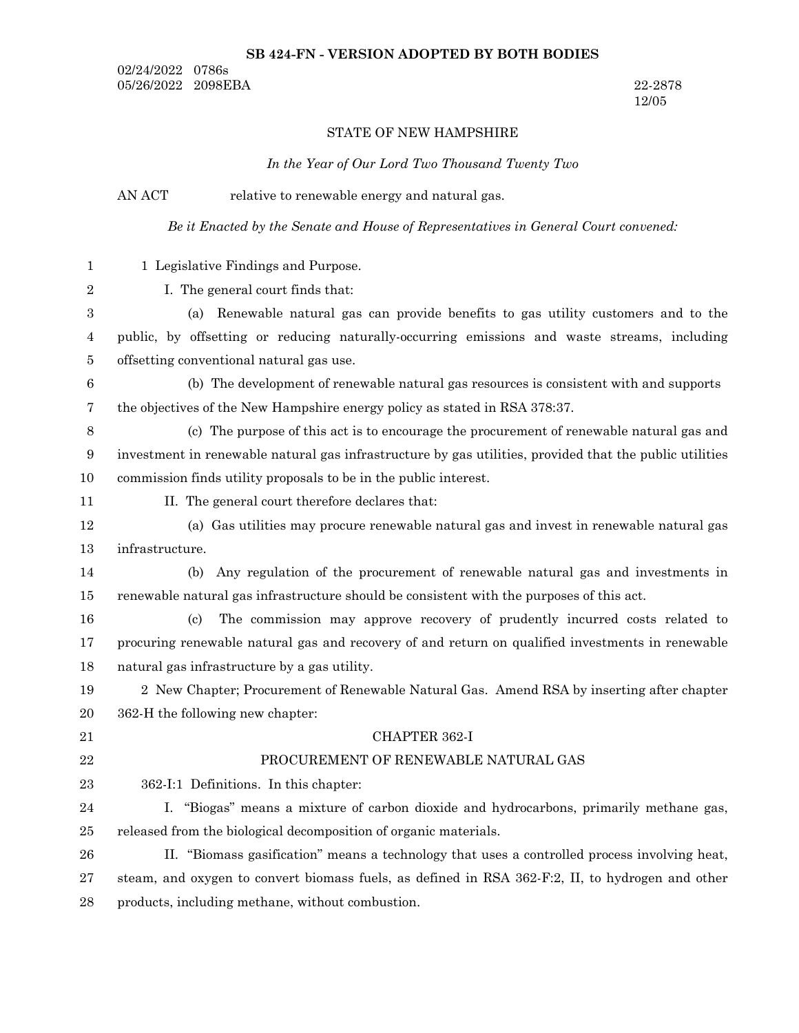## **SB 424-FN - VERSION ADOPTED BY BOTH BODIES**

02/24/2022 0786s 05/26/2022 2098EBA 22-2878

12/05

# STATE OF NEW HAMPSHIRE

## *In the Year of Our Lord Two Thousand Twenty Two*

|                  | AN ACT<br>relative to renewable energy and natural gas.                                                 |
|------------------|---------------------------------------------------------------------------------------------------------|
|                  | Be it Enacted by the Senate and House of Representatives in General Court convened:                     |
| $\mathbf{1}$     | 1 Legislative Findings and Purpose.                                                                     |
| $\boldsymbol{2}$ | I. The general court finds that:                                                                        |
| 3                | Renewable natural gas can provide benefits to gas utility customers and to the<br>(a)                   |
| 4                | public, by offsetting or reducing naturally-occurring emissions and waste streams, including            |
| 5                | offsetting conventional natural gas use.                                                                |
| $\boldsymbol{6}$ | (b) The development of renewable natural gas resources is consistent with and supports                  |
| 7                | the objectives of the New Hampshire energy policy as stated in RSA 378:37.                              |
| $8\,$            | (c) The purpose of this act is to encourage the procurement of renewable natural gas and                |
| 9                | investment in renewable natural gas infrastructure by gas utilities, provided that the public utilities |
| 10               | commission finds utility proposals to be in the public interest.                                        |
| 11               | II. The general court therefore declares that:                                                          |
| 12               | (a) Gas utilities may procure renewable natural gas and invest in renewable natural gas                 |
| 13               | infrastructure.                                                                                         |
| 14               | Any regulation of the procurement of renewable natural gas and investments in<br>(b)                    |
| 15               | renewable natural gas infrastructure should be consistent with the purposes of this act.                |
| 16               | The commission may approve recovery of prudently incurred costs related to<br>$\left( \text{c} \right)$ |
| 17               | procuring renewable natural gas and recovery of and return on qualified investments in renewable        |
| 18               | natural gas infrastructure by a gas utility.                                                            |
| 19               | 2 New Chapter; Procurement of Renewable Natural Gas. Amend RSA by inserting after chapter               |
| 20               | 362-H the following new chapter:                                                                        |
| 21               | CHAPTER 362-I                                                                                           |
| $\bf{22}$        | PROCUREMENT OF RENEWABLE NATURAL GAS                                                                    |
| 23               | 362-I:1 Definitions. In this chapter:                                                                   |
| $\sqrt{24}$      | I. "Biogas" means a mixture of carbon dioxide and hydrocarbons, primarily methane gas,                  |
| $25\,$           | released from the biological decomposition of organic materials.                                        |
| 26               | II. "Biomass gasification" means a technology that uses a controlled process involving heat,            |
| $\sqrt{27}$      | steam, and oxygen to convert biomass fuels, as defined in RSA 362-F:2, II, to hydrogen and other        |
| $\bf 28$         | products, including methane, without combustion.                                                        |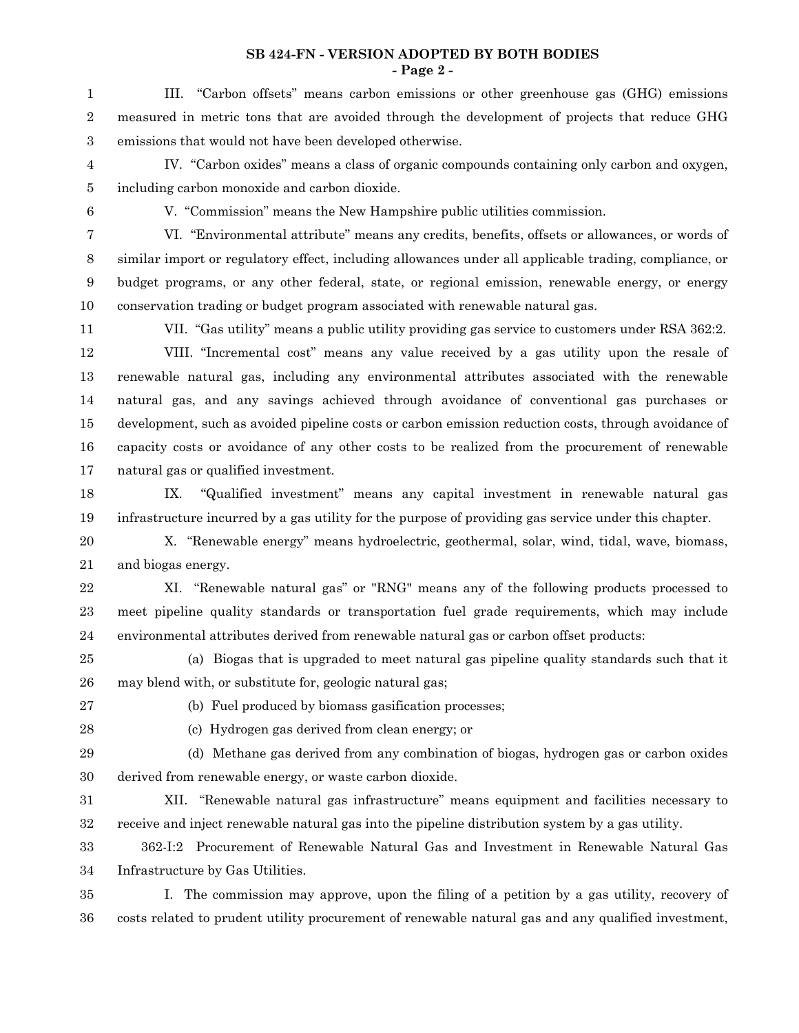**SB 424-FN - VERSION ADOPTED BY BOTH BODIES - Page 2 -**

III. "Carbon offsets" means carbon emissions or other greenhouse gas (GHG) emissions measured in metric tons that are avoided through the development of projects that reduce GHG emissions that would not have been developed otherwise. 1 2 3

IV. "Carbon oxides" means a class of organic compounds containing only carbon and oxygen, including carbon monoxide and carbon dioxide. 4 5

6

V. "Commission" means the New Hampshire public utilities commission.

VI. "Environmental attribute" means any credits, benefits, offsets or allowances, or words of similar import or regulatory effect, including allowances under all applicable trading, compliance, or budget programs, or any other federal, state, or regional emission, renewable energy, or energy conservation trading or budget program associated with renewable natural gas. 7 8 9 10

11

VII. "Gas utility" means a public utility providing gas service to customers under RSA 362:2.

VIII. "Incremental cost" means any value received by a gas utility upon the resale of renewable natural gas, including any environmental attributes associated with the renewable natural gas, and any savings achieved through avoidance of conventional gas purchases or development, such as avoided pipeline costs or carbon emission reduction costs, through avoidance of capacity costs or avoidance of any other costs to be realized from the procurement of renewable natural gas or qualified investment. 12 13 14 15 16 17

IX. "Qualified investment" means any capital investment in renewable natural gas infrastructure incurred by a gas utility for the purpose of providing gas service under this chapter. 18 19

X. "Renewable energy" means hydroelectric, geothermal, solar, wind, tidal, wave, biomass, and biogas energy. 20 21

XI. "Renewable natural gas" or "RNG" means any of the following products processed to meet pipeline quality standards or transportation fuel grade requirements, which may include environmental attributes derived from renewable natural gas or carbon offset products: 22 23 24

(a) Biogas that is upgraded to meet natural gas pipeline quality standards such that it may blend with, or substitute for, geologic natural gas; 25 26

27

(b) Fuel produced by biomass gasification processes;

28

(c) Hydrogen gas derived from clean energy; or

(d) Methane gas derived from any combination of biogas, hydrogen gas or carbon oxides derived from renewable energy, or waste carbon dioxide. 29 30

XII. "Renewable natural gas infrastructure" means equipment and facilities necessary to receive and inject renewable natural gas into the pipeline distribution system by a gas utility. 31 32

362-I:2 Procurement of Renewable Natural Gas and Investment in Renewable Natural Gas Infrastructure by Gas Utilities. 33 34

I. The commission may approve, upon the filing of a petition by a gas utility, recovery of costs related to prudent utility procurement of renewable natural gas and any qualified investment, 35 36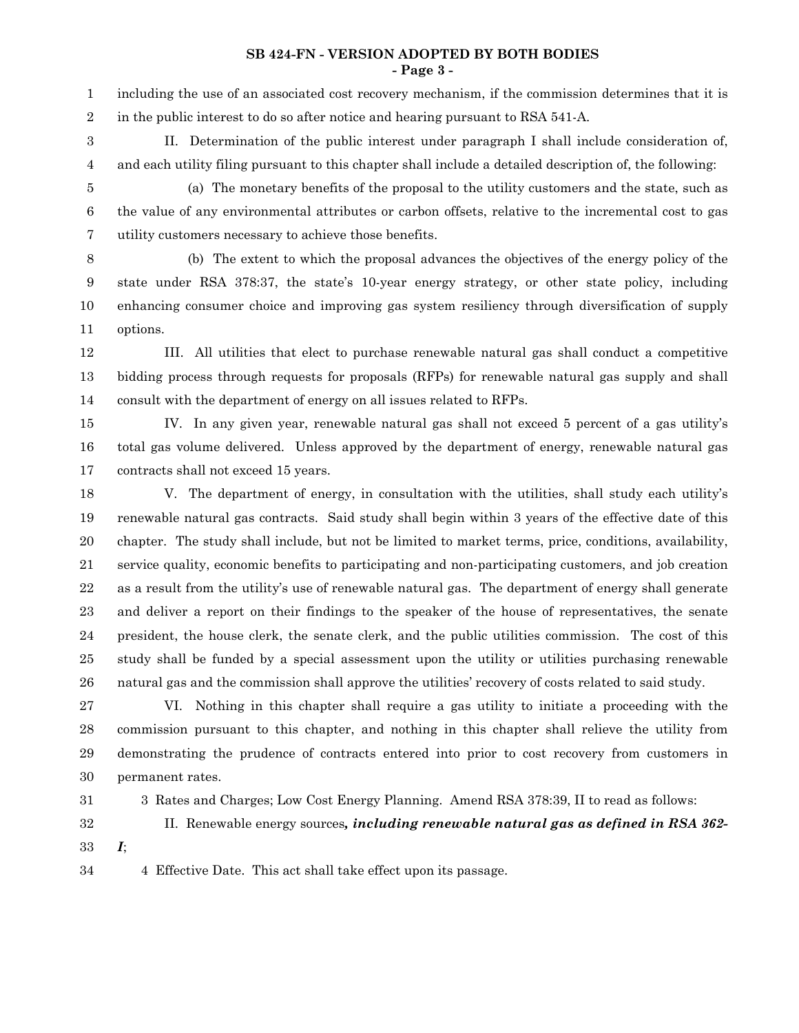#### **SB 424-FN - VERSION ADOPTED BY BOTH BODIES - Page 3 -**

including the use of an associated cost recovery mechanism, if the commission determines that it is in the public interest to do so after notice and hearing pursuant to RSA 541-A. 1 2

3 4

II. Determination of the public interest under paragraph I shall include consideration of, and each utility filing pursuant to this chapter shall include a detailed description of, the following:

(a) The monetary benefits of the proposal to the utility customers and the state, such as the value of any environmental attributes or carbon offsets, relative to the incremental cost to gas utility customers necessary to achieve those benefits. 5 6 7

(b) The extent to which the proposal advances the objectives of the energy policy of the state under RSA 378:37, the state's 10-year energy strategy, or other state policy, including enhancing consumer choice and improving gas system resiliency through diversification of supply options. 8 9 10 11

III. All utilities that elect to purchase renewable natural gas shall conduct a competitive bidding process through requests for proposals (RFPs) for renewable natural gas supply and shall consult with the department of energy on all issues related to RFPs. 12 13 14

IV. In any given year, renewable natural gas shall not exceed 5 percent of a gas utility's total gas volume delivered. Unless approved by the department of energy, renewable natural gas contracts shall not exceed 15 years. 15 16 17

V. The department of energy, in consultation with the utilities, shall study each utility's renewable natural gas contracts. Said study shall begin within 3 years of the effective date of this chapter. The study shall include, but not be limited to market terms, price, conditions, availability, service quality, economic benefits to participating and non-participating customers, and job creation as a result from the utility's use of renewable natural gas. The department of energy shall generate and deliver a report on their findings to the speaker of the house of representatives, the senate president, the house clerk, the senate clerk, and the public utilities commission. The cost of this study shall be funded by a special assessment upon the utility or utilities purchasing renewable natural gas and the commission shall approve the utilities' recovery of costs related to said study. 18 19 20 21 22 23 24 25 26

VI. Nothing in this chapter shall require a gas utility to initiate a proceeding with the commission pursuant to this chapter, and nothing in this chapter shall relieve the utility from demonstrating the prudence of contracts entered into prior to cost recovery from customers in permanent rates. 27 28 29 30

- 31
- 32

3 Rates and Charges; Low Cost Energy Planning. Amend RSA 378:39, II to read as follows:

- II. Renewable energy sources*, including renewable natural gas as defined in RSA 362-*
- *I*; 33

4 Effective Date. This act shall take effect upon its passage. 34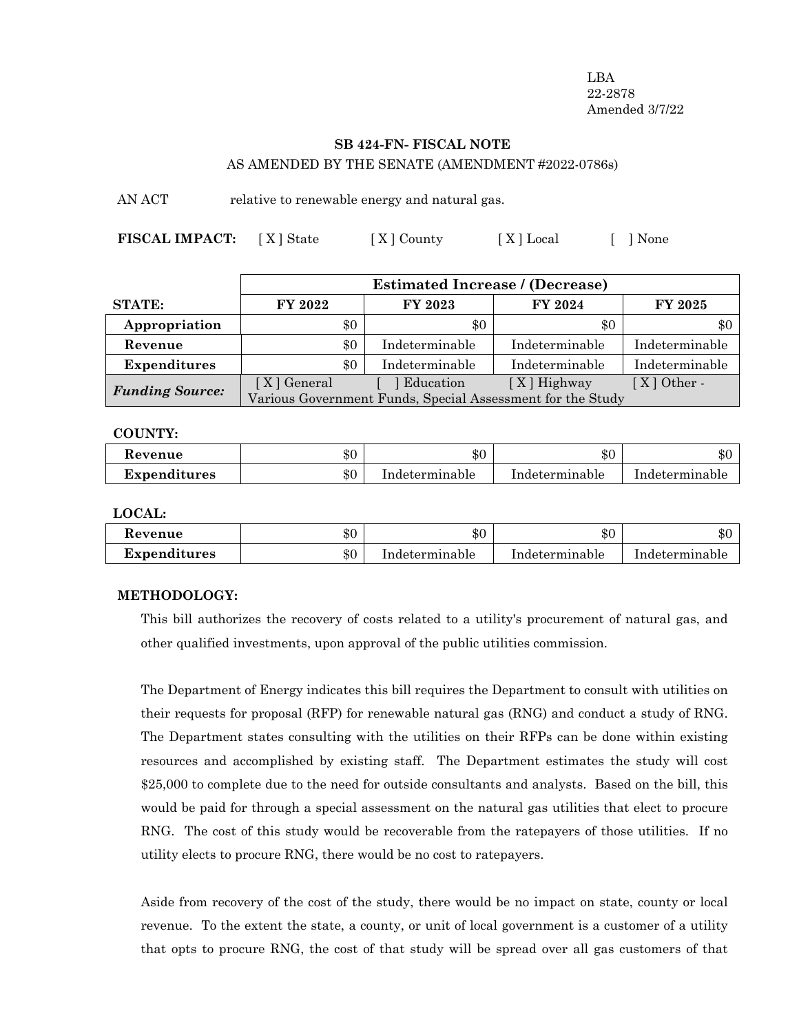LBA 22-2878 Amended 3/7/22

# **SB 424-FN- FISCAL NOTE**

AS AMENDED BY THE SENATE (AMENDMENT #2022-0786s)

AN ACT relative to renewable energy and natural gas.

**FISCAL IMPACT:** [X] State [X] County [X] Local [ ] None

|                        | <b>Estimated Increase / (Decrease)</b>                     |                |                |                |  |
|------------------------|------------------------------------------------------------|----------------|----------------|----------------|--|
| <b>STATE:</b>          | FY 2022                                                    | FY 2023        | FY 2024        | FY 2025        |  |
| Appropriation          | \$0                                                        | \$0            | \$0            | \$0            |  |
| Revenue                | \$0                                                        | Indeterminable | Indeterminable | Indeterminable |  |
| <b>Expenditures</b>    | \$0                                                        | Indeterminable | Indeterminable | Indeterminable |  |
| <b>Funding Source:</b> | [X] General                                                | Education      | $[X]$ Highway  | $[X]$ Other -  |  |
|                        | Various Government Funds, Special Assessment for the Study |                |                |                |  |

**COUNTY:**

| Kevenue             | ሱሶ<br>কচ | \$0            | \$0            | ሱ ፖ<br>∙D∪     |
|---------------------|----------|----------------|----------------|----------------|
| <b>Expenditures</b> | \$0      | Indeterminable | Indeterminable | Indeterminable |

**LOCAL:**

| Kevenue      | ሱ ሰ<br>ъU | \$0            | ـ ـ ـ ـ<br>æС  | ሱስ<br>ADU      |
|--------------|-----------|----------------|----------------|----------------|
| Expenditures | \$0       | Indeterminable | Indeterminable | Indeterminable |

#### **METHODOLOGY:**

This bill authorizes the recovery of costs related to a utility's procurement of natural gas, and other qualified investments, upon approval of the public utilities commission.

The Department of Energy indicates this bill requires the Department to consult with utilities on their requests for proposal (RFP) for renewable natural gas (RNG) and conduct a study of RNG. The Department states consulting with the utilities on their RFPs can be done within existing resources and accomplished by existing staff. The Department estimates the study will cost \$25,000 to complete due to the need for outside consultants and analysts. Based on the bill, this would be paid for through a special assessment on the natural gas utilities that elect to procure RNG. The cost of this study would be recoverable from the ratepayers of those utilities. If no utility elects to procure RNG, there would be no cost to ratepayers.

Aside from recovery of the cost of the study, there would be no impact on state, county or local revenue. To the extent the state, a county, or unit of local government is a customer of a utility that opts to procure RNG, the cost of that study will be spread over all gas customers of that